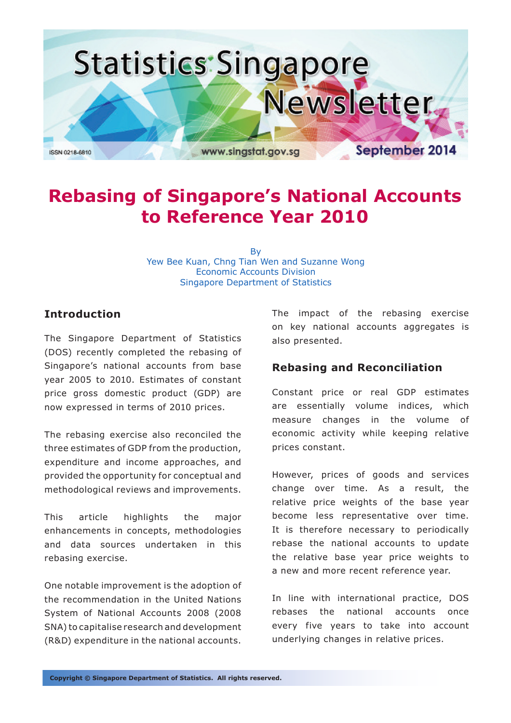

# **Rebasing of Singapore's National Accounts to Reference Year 2010**

By Yew Bee Kuan, Chng Tian Wen and Suzanne Wong Economic Accounts Division Singapore Department of Statistics

## **Introduction**

The Singapore Department of Statistics (DOS) recently completed the rebasing of Singapore's national accounts from base year 2005 to 2010. Estimates of constant price gross domestic product (GDP) are now expressed in terms of 2010 prices.

The rebasing exercise also reconciled the three estimates of GDP from the production, expenditure and income approaches, and provided the opportunity for conceptual and methodological reviews and improvements.

This article highlights the major enhancements in concepts, methodologies and data sources undertaken in this rebasing exercise.

One notable improvement is the adoption of the recommendation in the United Nations System of National Accounts 2008 (2008 SNA) to capitalise research and development (R&D) expenditure in the national accounts.

The impact of the rebasing exercise on key national accounts aggregates is also presented.

## **Rebasing and Reconciliation**

Constant price or real GDP estimates are essentially volume indices, which measure changes in the volume of economic activity while keeping relative prices constant.

However, prices of goods and services change over time. As a result, the relative price weights of the base year become less representative over time. It is therefore necessary to periodically rebase the national accounts to update the relative base year price weights to a new and more recent reference year.

In line with international practice, DOS rebases the national accounts once every five years to take into account underlying changes in relative prices.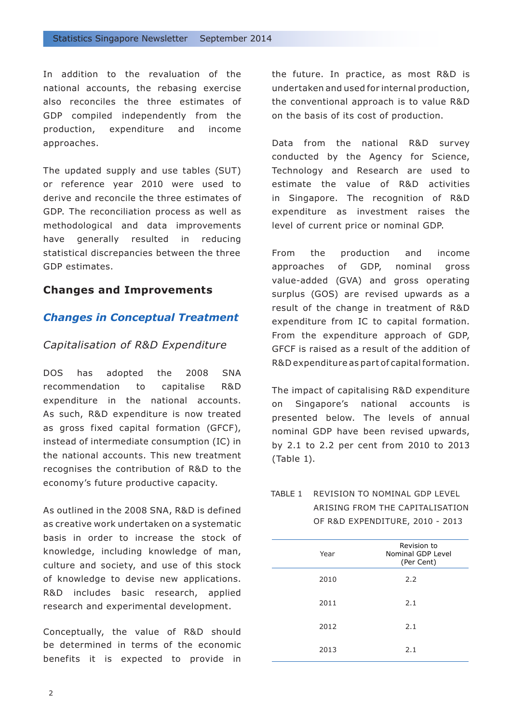In addition to the revaluation of the national accounts, the rebasing exercise also reconciles the three estimates of GDP compiled independently from the production, expenditure and income approaches.

The updated supply and use tables (SUT) or reference year 2010 were used to derive and reconcile the three estimates of GDP. The reconciliation process as well as methodological and data improvements have generally resulted in reducing statistical discrepancies between the three GDP estimates.

## **Changes and Improvements**

#### *Changes in Conceptual Treatment*

#### *Capitalisation of R&D Expenditure*

DOS has adopted the 2008 SNA recommendation to capitalise R&D expenditure in the national accounts. As such, R&D expenditure is now treated as gross fixed capital formation (GFCF), instead of intermediate consumption (IC) in the national accounts. This new treatment recognises the contribution of R&D to the economy's future productive capacity.

As outlined in the 2008 SNA, R&D is defined as creative work undertaken on a systematic basis in order to increase the stock of knowledge, including knowledge of man, culture and society, and use of this stock of knowledge to devise new applications. R&D includes basic research, applied research and experimental development.

Conceptually, the value of R&D should be determined in terms of the economic benefits it is expected to provide in the future. In practice, as most R&D is undertaken and used for internal production, the conventional approach is to value R&D on the basis of its cost of production.

Data from the national R&D survey conducted by the Agency for Science, Technology and Research are used to estimate the value of R&D activities in Singapore. The recognition of R&D expenditure as investment raises the level of current price or nominal GDP.

From the production and income approaches of GDP, nominal gross value-added (GVA) and gross operating surplus (GOS) are revised upwards as a result of the change in treatment of R&D expenditure from IC to capital formation. From the expenditure approach of GDP, GFCF is raised as a result of the addition of R&D expenditure as part of capital formation.

The impact of capitalising R&D expenditure on Singapore's national accounts is presented below. The levels of annual nominal GDP have been revised upwards, by 2.1 to 2.2 per cent from 2010 to 2013 (Table 1).

## TABLE 1 REVISION TO NOMINAL GDP LEVEL ARISING FROM THE CAPITALISATION OF R&D EXPENDITURE, 2010 - 2013

| Year | Revision to<br>Nominal GDP Level<br>(Per Cent) |
|------|------------------------------------------------|
| 2010 | 2.2                                            |
| 2011 | 2.1                                            |
| 2012 | 2.1                                            |
| 2013 | 2.1                                            |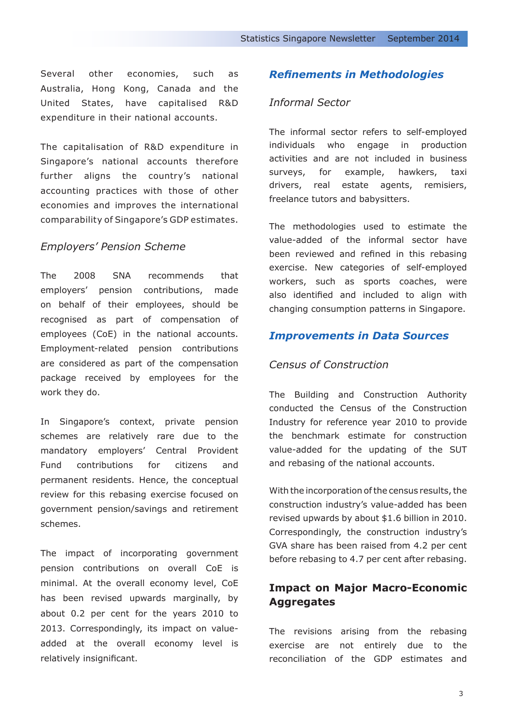Several other economies, such as Australia, Hong Kong, Canada and the United States, have capitalised R&D expenditure in their national accounts.

The capitalisation of R&D expenditure in Singapore's national accounts therefore further aligns the country's national accounting practices with those of other economies and improves the international comparability of Singapore's GDP estimates.

## *Employers' Pension Scheme*

The 2008 SNA recommends that employers' pension contributions, made on behalf of their employees, should be recognised as part of compensation of employees (CoE) in the national accounts. Employment-related pension contributions are considered as part of the compensation package received by employees for the work they do.

In Singapore's context, private pension schemes are relatively rare due to the mandatory employers' Central Provident Fund contributions for citizens and permanent residents. Hence, the conceptual review for this rebasing exercise focused on government pension/savings and retirement schemes.

The impact of incorporating government pension contributions on overall CoE is minimal. At the overall economy level, CoE has been revised upwards marginally, by about 0.2 per cent for the years 2010 to 2013. Correspondingly, its impact on valueadded at the overall economy level is relatively insignificant.

## *Refinements in Methodologies*

## *Informal Sector*

The informal sector refers to self-employed individuals who engage in production activities and are not included in business surveys, for example, hawkers, taxi drivers, real estate agents, remisiers, freelance tutors and babysitters.

The methodologies used to estimate the value-added of the informal sector have been reviewed and refined in this rebasing exercise. New categories of self-employed workers, such as sports coaches, were also identified and included to align with changing consumption patterns in Singapore.

#### *Improvements in Data Sources*

#### *Census of Construction*

The Building and Construction Authority conducted the Census of the Construction Industry for reference year 2010 to provide the benchmark estimate for construction value-added for the updating of the SUT and rebasing of the national accounts.

With the incorporation of the census results, the construction industry's value-added has been revised upwards by about \$1.6 billion in 2010. Correspondingly, the construction industry's GVA share has been raised from 4.2 per cent before rebasing to 4.7 per cent after rebasing.

## **Impact on Major Macro-Economic Aggregates**

The revisions arising from the rebasing exercise are not entirely due to the reconciliation of the GDP estimates and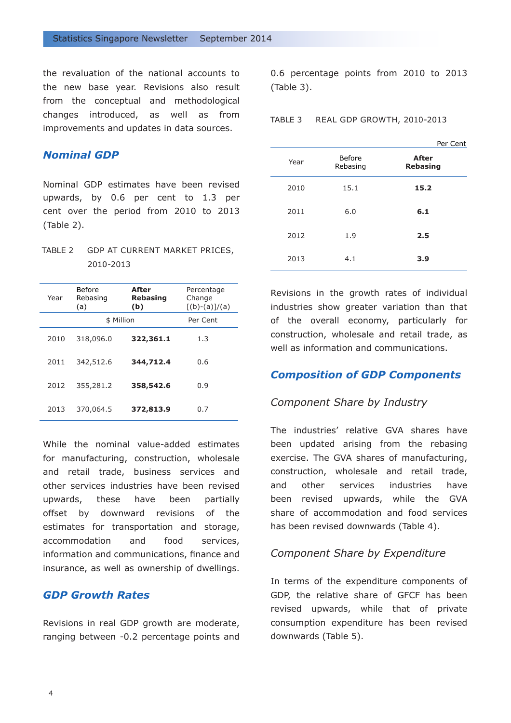the revaluation of the national accounts to the new base year. Revisions also result from the conceptual and methodological changes introduced, as well as from improvements and updates in data sources.

## *Nominal GDP*

Nominal GDP estimates have been revised upwards, by 0.6 per cent to 1.3 per cent over the period from 2010 to 2013 (Table 2).

| TABLE 2 GDP AT CURRENT MARKET PRICES, |
|---------------------------------------|
| 2010-2013                             |

| Year | Before<br>Rebasing<br>(a) | <b>After</b><br>Rebasing<br>(b) | Percentage<br>Change<br>$[(b)-(a)]/(a)$ |
|------|---------------------------|---------------------------------|-----------------------------------------|
|      | \$ Million                | Per Cent                        |                                         |
| 2010 | 318,096.0                 | 322,361.1                       | 1.3                                     |
| 2011 | 342,512.6                 | 344,712.4                       | 0.6                                     |
| 2012 | 355,281.2                 | 358,542.6                       | 0.9                                     |
| 2013 | 370,064.5                 | 372,813.9                       | 0.7                                     |

While the nominal value-added estimates for manufacturing, construction, wholesale and retail trade, business services and other services industries have been revised upwards, these have been partially offset by downward revisions of the estimates for transportation and storage, accommodation and food services, information and communications, finance and insurance, as well as ownership of dwellings.

## *GDP Growth Rates*

Revisions in real GDP growth are moderate, ranging between -0.2 percentage points and

0.6 percentage points from 2010 to 2013 (Table 3).

TABLE 3 REAL GDP GROWTH, 2010-2013

| Per Cent                        |                           |      |
|---------------------------------|---------------------------|------|
| <b>After</b><br><b>Rebasing</b> | <b>Before</b><br>Rebasing | Year |
| 15.2                            | 15.1                      | 2010 |
| 6.1                             | 6.0                       | 2011 |
| 2.5                             | 1.9                       | 2012 |
| 3.9                             | 4.1                       | 2013 |

Revisions in the growth rates of individual industries show greater variation than that of the overall economy, particularly for construction, wholesale and retail trade, as well as information and communications.

## *Composition of GDP Components*

#### *Component Share by Industry*

The industries' relative GVA shares have been updated arising from the rebasing exercise. The GVA shares of manufacturing, construction, wholesale and retail trade, and other services industries have been revised upwards, while the GVA share of accommodation and food services has been revised downwards (Table 4).

#### *Component Share by Expenditure*

In terms of the expenditure components of GDP, the relative share of GFCF has been revised upwards, while that of private consumption expenditure has been revised downwards (Table 5).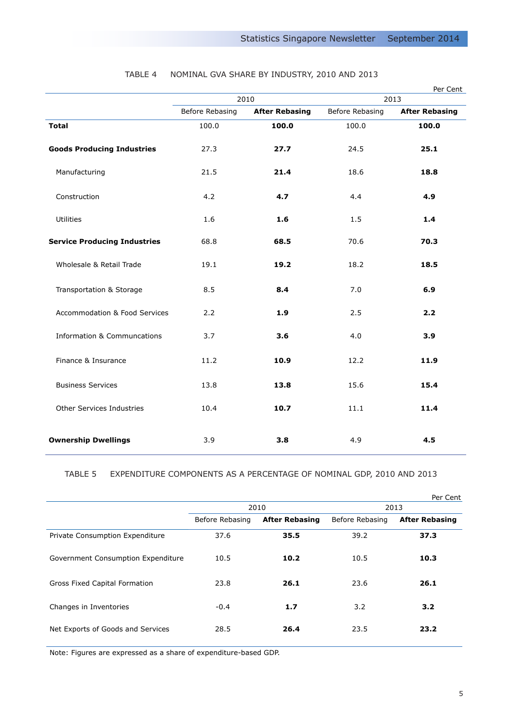|                                        | 2010                                     |       | Per Cent<br>2013                         |       |
|----------------------------------------|------------------------------------------|-------|------------------------------------------|-------|
|                                        | Before Rebasing<br><b>After Rebasing</b> |       | Before Rebasing<br><b>After Rebasing</b> |       |
| <b>Total</b>                           | 100.0                                    | 100.0 | 100.0                                    | 100.0 |
| <b>Goods Producing Industries</b>      | 27.3                                     | 27.7  | 24.5                                     | 25.1  |
| Manufacturing                          | 21.5                                     | 21.4  | 18.6                                     | 18.8  |
| Construction                           | 4.2                                      | 4.7   | 4.4                                      | 4.9   |
| Utilities                              | 1.6                                      | 1.6   | 1.5                                      | 1.4   |
| <b>Service Producing Industries</b>    | 68.8                                     | 68.5  | 70.6                                     | 70.3  |
| Wholesale & Retail Trade               | 19.1                                     | 19.2  | 18.2                                     | 18.5  |
| Transportation & Storage               | 8.5                                      | 8.4   | 7.0                                      | 6.9   |
| Accommodation & Food Services          | 2.2                                      | 1.9   | 2.5                                      | 2.2   |
| <b>Information &amp; Communcations</b> | 3.7                                      | 3.6   | 4.0                                      | 3.9   |
| Finance & Insurance                    | 11.2                                     | 10.9  | 12.2                                     | 11.9  |
| <b>Business Services</b>               | 13.8                                     | 13.8  | 15.6                                     | 15.4  |
| Other Services Industries              | 10.4                                     | 10.7  | 11.1                                     | 11.4  |
| <b>Ownership Dwellings</b>             | 3.9                                      | 3.8   | 4.9                                      | 4.5   |

## TABLE 4 NOMINAL GVA SHARE BY INDUSTRY, 2010 AND 2013

### TABLE 5 EXPENDITURE COMPONENTS AS A PERCENTAGE OF NOMINAL GDP, 2010 AND 2013

|                                    |                 |                       |                 | Per Cent              |
|------------------------------------|-----------------|-----------------------|-----------------|-----------------------|
|                                    | 2010            |                       | 2013            |                       |
|                                    | Before Rebasing | <b>After Rebasing</b> | Before Rebasing | <b>After Rebasing</b> |
| Private Consumption Expenditure    | 37.6            | 35.5                  | 39.2            | 37.3                  |
| Government Consumption Expenditure | 10.5            | 10.2                  | 10.5            | 10.3                  |
| Gross Fixed Capital Formation      | 23.8            | 26.1                  | 23.6            | 26.1                  |
| Changes in Inventories             | $-0.4$          | 1.7                   | 3.2             | 3.2                   |
| Net Exports of Goods and Services  | 28.5            | 26.4                  | 23.5            | 23.2                  |

Note: Figures are expressed as a share of expenditure-based GDP.